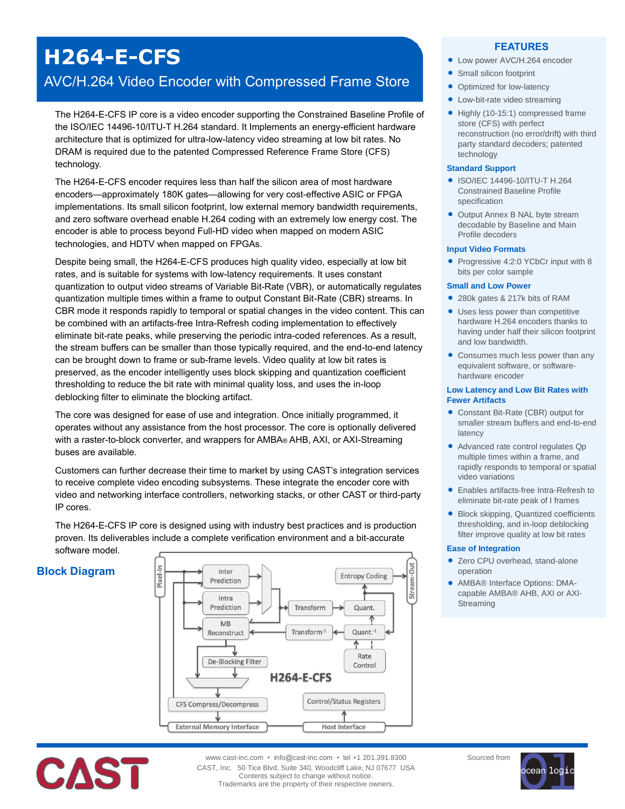# **H264-E-CFS**

## AVC/H.264 Video Encoder with Compressed Frame Store

The H264-E-CFS IP core is a video encoder supporting the Constrained Baseline Profile of the ISO/IEC 14496-10/ITU-T H.264 standard. It Implements an energy-efficient hardware architecture that is optimized for ultra-low-latency video streaming at low bit rates. No DRAM is required due to the patented Compressed Reference Frame Store (CFS) technology.

The H264-E-CFS encoder requires less than half the silicon area of most hardware encoders—approximately 180K gates—allowing for very cost-effective ASIC or FPGA implementations. Its small silicon footprint, low external memory bandwidth requirements, and zero software overhead enable H.264 coding with an extremely low energy cost. The encoder is able to process beyond Full-HD video when mapped on modern ASIC technologies, and HDTV when mapped on FPGAs.

Despite being small, the H264-E-CFS produces high quality video, especially at low bit rates, and is suitable for systems with low-latency requirements. It uses constant quantization to output video streams of Variable Bit-Rate (VBR), or automatically regulates quantization multiple times within a frame to output Constant Bit-Rate (CBR) streams. In CBR mode it responds rapidly to temporal or spatial changes in the video content. This can be combined with an artifacts-free Intra-Refresh coding implementation to effectively eliminate bit-rate peaks, while preserving the periodic intra-coded references. As a result, the stream buffers can be smaller than those typically required, and the end-to-end latency can be brought down to frame or sub-frame levels. Video quality at low bit rates is preserved, as the encoder intelligently uses block skipping and quantization coefficient thresholding to reduce the bit rate with minimal quality loss, and uses the in-loop deblocking filter to eliminate the blocking artifact.

The core was designed for ease of use and integration. Once initially programmed, it operates without any assistance from the host processor. The core is optionally delivered with a raster-to-block converter, and wrappers for AMBA® AHB, AXI, or AXI-Streaming buses are available.

Customers can further decrease their time to market by using CAST's integration services to receive complete video encoding subsystems. These integrate the encoder core with video and networking interface controllers, networking stacks, or other CAST or third-party IP cores.

The H264-E-CFS IP core is designed using with industry best practices and is production proven. Its deliverables include a complete verification environment and a bit-accurate software model.

## **Block Diagram**





- Low power AVC/H.264 encoder
- Small silicon footprint
- Optimized for low-latency
- Low-bit-rate video streaming
- Highly (10-15:1) compressed frame store (CFS) with perfect reconstruction (no error/drift) with third party standard decoders; patented technology

#### **Standard Support**

- ISO/IEC 14496-10/ITU-T H.264 Constrained Baseline Profile specification
- Output Annex B NAL byte stream decodable by Baseline and Main Profile decoders

#### **Input Video Formats**

• Progressive 4:2:0 YCbCr input with 8 bits per color sample

#### **Small and Low Power**

- 280k gates & 217k bits of RAM
- Uses less power than competitive hardware H.264 encoders thanks to having under half their silicon footprint and low bandwidth.
- Consumes much less power than any equivalent software, or softwarehardware encoder

#### **Low Latency and Low Bit Rates with Fewer Artifacts**

- Constant Bit-Rate (CBR) output for smaller stream buffers and end-to-end latency
- Advanced rate control regulates Qp multiple times within a frame, and rapidly responds to temporal or spatial video variations
- Enables artifacts-free Intra-Refresh to eliminate bit-rate peak of I frames
- Block skipping, Quantized coefficients thresholding, and in-loop deblocking filter improve quality at low bit rates

#### **Ease of Integration**

- Zero CPU overhead, stand-alone operation
- AMBA® Interface Options: DMAcapable AMBA® AHB, AXI or AXI-Streaming



www.cast-inc.com • info@cast-inc.com • tel +1 201.391.8300 CAST, Inc. 50 Tice Blvd, Suite 340, Woodcliff Lake, NJ 07677 USA Contents subject to change without notice. Trademarks are the property of their respective owners.